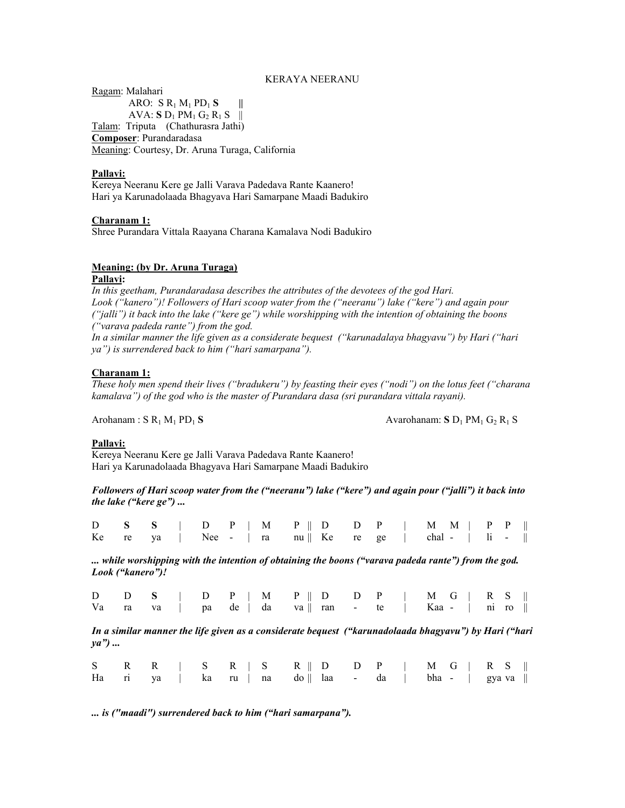## KERAYA NEERANU

Ragam: Malahari ARO:  $S R_1 M_1 PD_1 S$  || AVA: **S**  $D_1$  PM<sub>1</sub> G<sub>2</sub> R<sub>1</sub> S || Talam: Triputa (Chathurasra Jathi) **Composer**: Purandaradasa Meaning: Courtesy, Dr. Aruna Turaga, California

### **Pallavi:**

Kereya Neeranu Kere ge Jalli Varava Padedava Rante Kaanero! Hari ya Karunadolaada Bhagyava Hari Samarpane Maadi Badukiro

### **Charanam 1:**

Shree Purandara Vittala Raayana Charana Kamalava Nodi Badukiro

# **Meaning: (by Dr. Aruna Turaga)**

**Pallavi:** 

*In this geetham, Purandaradasa describes the attributes of the devotees of the god Hari. Look ("kanero")! Followers of Hari scoop water from the ("neeranu") lake ("kere") and again pour ("jalli") it back into the lake ("kere ge") while worshipping with the intention of obtaining the boons ("varava padeda rante") from the god.* 

*In a similar manner the life given as a considerate bequest ("karunadalaya bhagyavu") by Hari ("hari ya") is surrendered back to him ("hari samarpana").*

## **Charanam 1:**

*These holy men spend their lives ("bradukeru") by feasting their eyes ("nodi") on the lotus feet ("charana kamalava") of the god who is the master of Purandara dasa (sri purandara vittala rayani).* 

Arohanam : S R<sub>1</sub> M<sub>1</sub> PD<sub>1</sub> S Avarohanam: S D<sub>1</sub> PM<sub>1</sub> G<sub>2</sub> R<sub>1</sub> S

### **Pallavi:**

Kereya Neeranu Kere ge Jalli Varava Padedava Rante Kaanero! Hari ya Karunadolaada Bhagyava Hari Samarpane Maadi Badukiro

*Followers of Hari scoop water from the ("neeranu") lake ("kere") and again pour ("jalli") it back into the lake ("kere ge") ...* 

|  | $D$ S S   D P   M P    D D P   M M   P P               |  |  |  |  |  |  |  |
|--|--------------------------------------------------------|--|--|--|--|--|--|--|
|  | Ke re ya   Nee -   ra nu    Ke re ge   chal -   $\ $ - |  |  |  |  |  |  |  |

*... while worshipping with the intention of obtaining the boons ("varava padeda rante") from the god. Look ("kanero")!* 

|  | $D$ $D$ $S$   $D$ $P$   $M$ $P$    $D$ $D$ $P$   $M$ $G$   $R$ $S$                        |  |  |  |  |  |  |  |
|--|-------------------------------------------------------------------------------------------|--|--|--|--|--|--|--|
|  | Va ra va $\vert$ pa de $\vert$ da va $\vert$ ran - te $\vert$ Kaa - $\vert$ ni ro $\vert$ |  |  |  |  |  |  |  |

*In a similar manner the life given as a considerate bequest ("karunadolaada bhagyavu") by Hari ("hari ya") ...*

|  |  |  | $S \quad R \quad R \quad   \quad S \quad R \quad   \quad S \quad R \parallel D \quad D \quad P \quad   \quad M \quad G \quad   \quad R \quad S \parallel$ |  |  |  |  |  |  |
|--|--|--|-----------------------------------------------------------------------------------------------------------------------------------------------------------|--|--|--|--|--|--|
|  |  |  | Ha ri ya   ka ru   na do    laa - da   bha -   gyava                                                                                                      |  |  |  |  |  |  |

*... is ("maadi") surrendered back to him ("hari samarpana").*